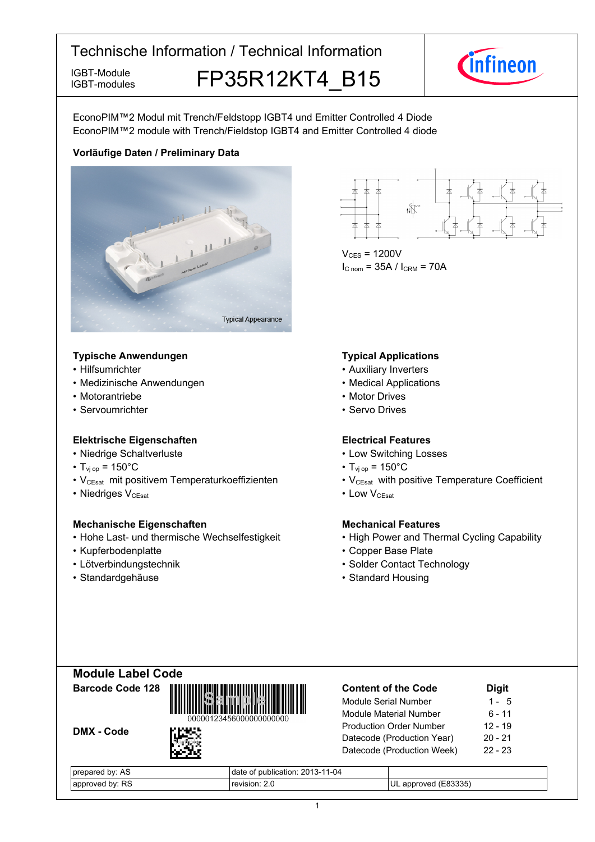IGBT-modules

IGBT-Module **FP35R12KT4 B15 IGBT-Modules** 



EconoPIM™2 Modul mit Trench/Feldstopp IGBT4 und Emitter Controlled 4 Diode EconoPIM™2 module with Trench/Fieldstop IGBT4 and Emitter Controlled 4 diode

# **Vorläufige-Daten-/-Preliminary-Data**



#### **Typische-Anwendungen Typical-**

- $\cdot$  Hilfsumrichter
- Medizinische Anwendungen von der anteressen von der Medical-
- Motorantriebe
- Servoumrichter

#### **Elektrische Eigenschaften Electrical-**

- Niedrige-Schaltverluste Low-
- $T_{\text{vj}}$  op = 150°C T<sub>vj</sub>
- V<sub>CEsat</sub> mit positivem Temperaturkoeffizienten V<sub>CEsat</sub>
- Niedriges V<sub>CEsat</sub>

#### **Mechanische Eigenschaften Mechanical-**

- Hohe Last- und thermische Wechselfestigkeit High
- Kupferbodenplatte
- Lötverbindungstechnik
- Standardgehäuse

DMX - Code



 $V_{CES}$  = 1200V  $I_{C \text{ nom}} = 35A / I_{CRM} = 70A$ 

#### **Typical Applications**

- Auxiliary Inverters
- Medical Applications
- Motor Drives
- Servo Drives

#### **Electrical Features**

- Switching Losses
- $_{\text{op}}$  = 150°C
- with positive Temperature Coefficient
- $V_{\text{CEsat}}$  Low  $V_{\text{CEsat}}$

# **Mechanical Features**

- Power and Thermal Cycling Capability
- Base-Plate
- Contact Technology
- Standard Housing







| <b>Content of the Code</b>     | <b>Digit</b> |
|--------------------------------|--------------|
| Module Serial Number           | 1 - 5        |
| Module Material Number         | ჩ - 11       |
| <b>Production Order Number</b> | $12 - 19$    |

 $-21$ 

--23

| prepared by: AS    | of publication: 2013-11-04 |                         |
|--------------------|----------------------------|-------------------------|
| by: RS<br>approved |                            | (E83335)<br>UL approved |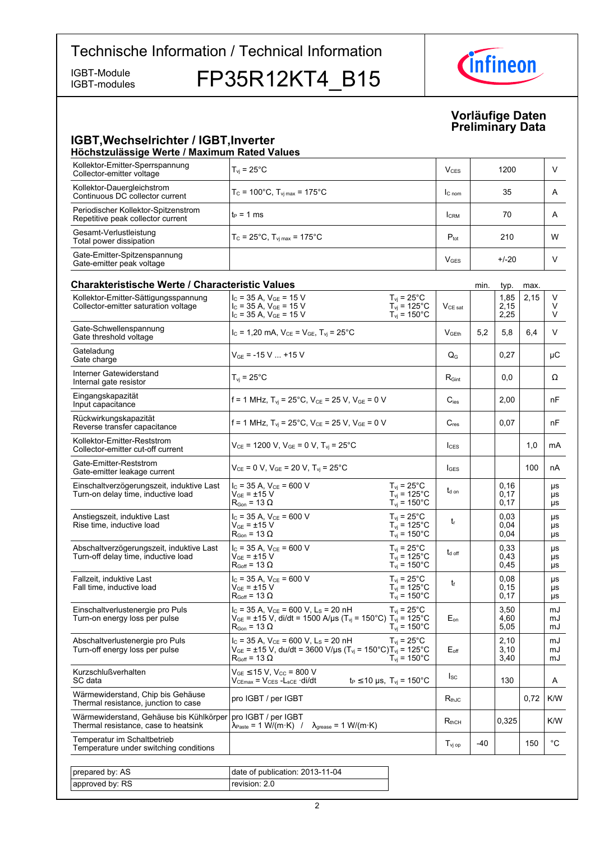IGBT-modules

IGBT-Modules FP35R12KT4 B15



#### **Vorläufige-Daten Preliminary-Data**

#### **IGBT, Wechselrichter / IGBT, Inverter Höchstzulässige-Werte-/-Maximum-Rated-Values**

| Kollektor-Emitter-Sperrspannung<br>Collector-emitter voltage             | $T_{vi}$ = 25 $^{\circ}$ C                                | V <sub>CES</sub>       | 1200    |   |
|--------------------------------------------------------------------------|-----------------------------------------------------------|------------------------|---------|---|
| Kollektor-Dauergleichstrom<br>Continuous DC collector current            | $T_c = 100^{\circ}$ C, $T_{vi \, max} = 175^{\circ}$ C    | $C_{nom}$              | 35      | A |
| Periodischer Kollektor-Spitzenstrom<br>Repetitive peak collector current | $t_P = 1$ ms                                              | <b>CRM</b>             | 70      | A |
| Gesamt-Verlustleistung<br>Total power dissipation                        | $T_c = 25^{\circ}$ C, $T_{\text{vi max}} = 175^{\circ}$ C | $P_{\text{tot}}$       | 210     | W |
| Gate-Emitter-Spitzenspannung<br>Gate-emitter peak voltage                |                                                           | <b>V<sub>GES</sub></b> | $+/-20$ |   |
|                                                                          |                                                           |                        |         |   |

| <b>Charakteristische Werte / Characteristic Values</b>                          |                                                                                                                                                                                   |                                                                                   |                           | min.  | typ.                 | max. |                       |
|---------------------------------------------------------------------------------|-----------------------------------------------------------------------------------------------------------------------------------------------------------------------------------|-----------------------------------------------------------------------------------|---------------------------|-------|----------------------|------|-----------------------|
| Kollektor-Emitter-Sättigungsspannung<br>Collector-emitter saturation voltage    | $I_C$ = 35 A, $V_{GE}$ = 15 V<br>$I_C$ = 35 A, $V_{GE}$ = 15 V<br>$I_c$ = 35 A, $V_{GE}$ = 15 V                                                                                   | $T_{vi}$ = 25 $^{\circ}$ C<br>$T_{\text{vj}}$ = 125°C<br>$T_{\text{vj}}$ = 150°C  | $V_{\text{CE sat}}$       |       | 1,85<br>2,15<br>2,25 | 2,15 | V<br>V<br>V           |
| Gate-Schwellenspannung<br>Gate threshold voltage                                | $I_C = 1,20$ mA, $V_{CE} = V_{GE}$ , $T_{vi} = 25^{\circ}$ C                                                                                                                      |                                                                                   | <b>V</b> GEth             | 5.2   | 5.8                  | 6.4  | V                     |
| Gateladung<br>Gate charge                                                       | $V_{GE}$ = -15 V  +15 V                                                                                                                                                           |                                                                                   | $\mathsf{Q}_{\mathsf{G}}$ |       | 0,27                 |      | μC                    |
| Interner Gatewiderstand<br>Internal gate resistor                               | $T_{vi}$ = 25°C                                                                                                                                                                   |                                                                                   | $R_{\text{Gint}}$         |       | 0,0                  |      | Ω                     |
| Eingangskapazität<br>Input capacitance                                          | f = 1 MHz, $T_{vj}$ = 25°C, $V_{CE}$ = 25 V, $V_{GE}$ = 0 V                                                                                                                       |                                                                                   | $C_{\text{les}}$          |       | 2,00                 |      | nF                    |
| Rückwirkungskapazität<br>Reverse transfer capacitance                           | f = 1 MHz, $T_{vi}$ = 25°C, $V_{CE}$ = 25 V, $V_{GE}$ = 0 V                                                                                                                       |                                                                                   | $C_{res}$                 |       | 0,07                 |      | nF                    |
| Kollektor-Emitter-Reststrom<br>Collector-emitter cut-off current                | $V_{CE}$ = 1200 V, $V_{GE}$ = 0 V, $T_{vi}$ = 25°C                                                                                                                                |                                                                                   | $I_{CES}$                 |       |                      | 1.0  | mA                    |
| Gate-Emitter-Reststrom<br>Gate-emitter leakage current                          | $V_{CE} = 0 V$ , $V_{GE} = 20 V$ , $T_{vi} = 25^{\circ}C$                                                                                                                         |                                                                                   | <b>I</b> GES              |       |                      | 100  | nA                    |
| Einschaltverzögerungszeit, induktive Last<br>Turn-on delay time, inductive load | $I_C = 35 A$ , $V_{CE} = 600 V$<br>$V_{GE}$ = $\pm$ 15 V<br>$R_{\text{Gon}}$ = 13 $\Omega$                                                                                        | $T_{\rm vj}$ = 25°C<br>$T_{\text{vj}}$ = 125°C<br>$T_{\text{vj}} = 150^{\circ}$ C | t <sub>d on</sub>         |       | 0.16<br>0.17<br>0,17 |      | μs<br>μs<br>μs        |
| Anstiegszeit, induktive Last<br>Rise time, inductive load                       | $I_{C}$ = 35 A, $V_{CE}$ = 600 V<br>$V_{GF}$ = $\pm$ 15 V<br>$\mathsf{R}_{\mathsf{Gon}}$ = 13 $\Omega$                                                                            | $T_{vi}$ = 25 $^{\circ}$ C<br>$T_{vi}$ = 125°C<br>$T_{vi}$ = 150 $^{\circ}$ C     | $t_{r}$                   |       | 0.03<br>0,04<br>0,04 |      | μs<br>μs<br>μs        |
| Abschaltverzögerungszeit, induktive Last<br>Turn-off delay time, inductive load | $I_{C}$ = 35 A, $V_{CE}$ = 600 V<br>$\rm V_{GE}$ = $\pm 15~\rm V$<br>$R_{Goff}$ = 13 $\Omega$                                                                                     | $T_{vi}$ = 25°C<br>$T_{\text{vj}}$ = 125°C<br>$T_{\text{vj}}$ = 150°C             | $t_{\text{d off}}$        |       | 0.33<br>0,43<br>0,45 |      | <b>US</b><br>μs<br>μs |
| Fallzeit, induktive Last<br>Fall time, inductive load                           | $I_C = 35 A$ , $V_{CE} = 600 V$<br>$\rm V_{GE}$ = ±15 $\rm V$<br>$R_{Goff}$ = 13 $\Omega$                                                                                         | $T_{vi}$ = 25°C<br>$T_{\text{vj}}$ = 125°C<br>$T_{\rm vj} = 150^{\circ}$ C        | t                         |       | 0,08<br>0,15<br>0,17 |      | μs<br>μs<br>μs        |
| Einschaltverlustenergie pro Puls<br>Turn-on energy loss per pulse               | $I_c$ = 35 A, $V_{CE}$ = 600 V, L <sub>s</sub> = 20 nH<br>$V_{GE}$ = ±15 V, di/dt = 1500 A/µs (T <sub>vj</sub> = 150°C) T <sub>vj</sub> = 125°C<br>$R_{\text{Gon}}$ = 13 $\Omega$ | $T_{\rm vj}$ = 25°C<br>$T_{\text{vj}}$ = 150°C                                    | $E_{on}$                  |       | 3,50<br>4.60<br>5,05 |      | mJ<br>mJ<br>mJ        |
| Abschaltverlustenergie pro Puls<br>Turn-off energy loss per pulse               | $I_C = 35$ A, $V_{CE} = 600$ V, L <sub>S</sub> = 20 nH<br>$V_{GE}$ = ±15 V, du/dt = 3600 V/µs (T <sub>vj</sub> = 150°C)T <sub>vj</sub> = 125°C<br>$R_{\text{Goff}}$ = 13 $\Omega$ | $T_{\rm vj}$ = 25°C<br>$T_{vi}$ = 150 $^{\circ}$ C                                | $E_{\text{off}}$          |       | 2,10<br>3.10<br>3,40 |      | mJ<br>mJ<br>mJ        |
| Kurzschlußverhalten<br>SC data                                                  | $V_{GE} \le 15$ V, $V_{CC}$ = 800 V<br>$V_{CEmax} = V_{CES} - L_{sCE} \cdot di/dt$                                                                                                | $t_P \le 10 \text{ }\mu\text{s}, \text{ } T_{\text{vj}} = 150^{\circ}\text{C}$    | $I_{SC}$                  |       | 130                  |      | A                     |
| Wärmewiderstand, Chip bis Gehäuse<br>Thermal resistance, junction to case       | pro IGBT / per IGBT                                                                                                                                                               |                                                                                   | $R_{thJC}$                |       |                      | 0,72 | K/W                   |
| Wärmewiderstand, Gehäuse bis Kühlkörper<br>Thermal resistance, case to heatsink | pro IGBT / per IGBT<br>$\lambda_{\text{Paste}} = 1 \text{ W/(m·K)}$ / $\lambda_{\text{grease}} = 1 \text{ W/(m·K)}$                                                               |                                                                                   | $R_{thCH}$                |       | 0,325                |      | K/W                   |
| Temperatur im Schaltbetrieb<br>Temperature under switching conditions           |                                                                                                                                                                                   |                                                                                   | $T_{\text{vj op}}$        | $-40$ |                      | 150  | $^{\circ}{\rm C}$     |
|                                                                                 |                                                                                                                                                                                   |                                                                                   |                           |       |                      |      |                       |
| prepared by: AS                                                                 | date of publication: 2013-11-04                                                                                                                                                   |                                                                                   |                           |       |                      |      |                       |
| approved by: RS                                                                 | revision: 2.0                                                                                                                                                                     |                                                                                   |                           |       |                      |      |                       |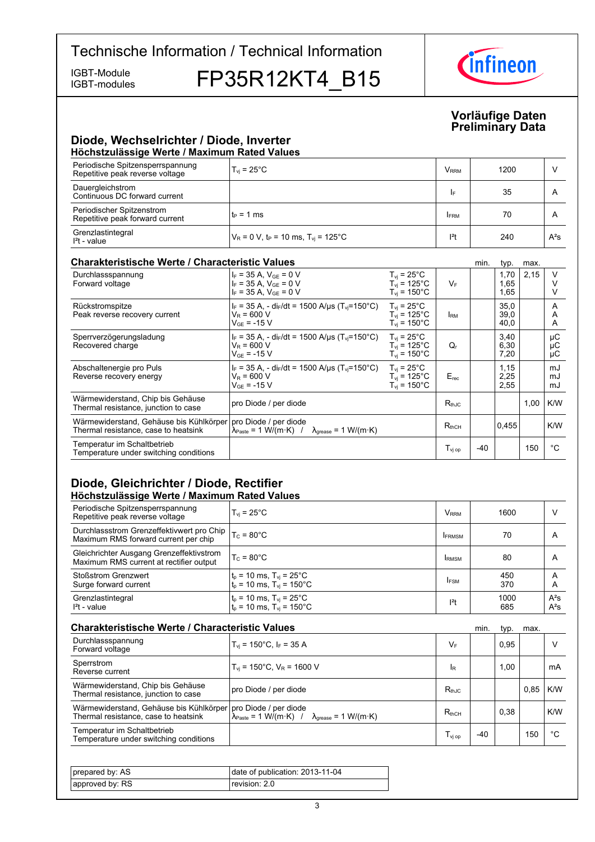IGBT-modules

IGBT-Module FP35R12KT4 B15



#### **Vorläufige-Daten Preliminary-Data**

### **Diode,-Wechselrichter-/-Diode,-Inverter Höchstzulässige-Werte-/-Maximum-Rated-Values**

| Periodische Spitzensperrspannung<br>Repetitive peak reverse voltage | $T_{\rm vi}$ = 25 $^{\circ}$ C                               | <b>V</b> <sub>RRM</sub> | 1200 |        |  |  |  |
|---------------------------------------------------------------------|--------------------------------------------------------------|-------------------------|------|--------|--|--|--|
| Dauergleichstrom<br>Continuous DC forward current                   |                                                              | I۴                      | 35   | A      |  |  |  |
| Periodischer Spitzenstrom<br>Repetitive peak forward current        | $t_P = 1$ ms                                                 | <b>FRM</b>              | 70   | A      |  |  |  |
| Grenzlastintegral<br>$I2t - value$                                  | $V_R = 0$ V, t <sub>P</sub> = 10 ms, T <sub>vi</sub> = 125°C | $ ^{2}t$                | 240  | $A^2S$ |  |  |  |

#### **Charakteristische Werte / Characteristic**

| <b>Charakteristische Werte / Characteristic Values</b>                          |                                                                                                                                                 |                                                                            |                              | min. | typ.                 | max. |                |
|---------------------------------------------------------------------------------|-------------------------------------------------------------------------------------------------------------------------------------------------|----------------------------------------------------------------------------|------------------------------|------|----------------------|------|----------------|
| Durchlassspannung<br>Forward voltage                                            | $I_F = 35 A$ , $V_{GE} = 0 V$<br>$I_F = 35 A$ , $V_{GE} = 0 V$<br>$I_F = 35 A$ , $V_{GF} = 0 V$                                                 | $T_{vi}$ = 25°C<br>$T_{\rm vi}$ = 125°C<br>$T_{\rm vi}$ = 150 $^{\circ}$ C | $V_F$                        |      | 1,70<br>1,65<br>1,65 | 2,15 | V              |
| Rückstromspitze<br>Peak reverse recovery current                                | $I_F$ = 35 A, - di <sub>F</sub> /dt = 1500 A/µs (T <sub>vi</sub> =150°C)<br>$V_R = 600 V$<br>$V_{GF}$ = -15 V                                   | $T_{vi}$ = 25°C<br>$T_{\rm vi}$ = 125°C.<br>$T_{\rm vi}$ = 150°C.          | <b>I</b> RM                  |      | 35,0<br>39,0<br>40,0 |      | A<br>A<br>A    |
| Sperrverzögerungsladung<br>Recovered charge                                     | $I_F$ = 35 A, - di <sub>F</sub> /dt = 1500 A/us (T <sub>vi</sub> =150°C)<br>$V_R = 600 V$<br>$V_{GF}$ = -15 V                                   | $T_{vi}$ = 25°C<br>$T_{\rm vi}$ = 125°C.<br>$T_{\rm vi}$ = 150°C.          | Q,                           |      | 3,40<br>6,30<br>7,20 |      | μC<br>μC<br>μC |
| Abschaltenergie pro Puls<br>Reverse recovery energy                             | $I_F = 35$ A, - di <sub>F</sub> /dt = 1500 A/us (T <sub>vi</sub> =150 °C)<br>$V_R = 600 V$<br>$V_{GF}$ = -15 V                                  | $T_{\rm vi}$ = 25°C<br>$T_{vi}$ = 125°C<br>$T_{\rm vi}$ = 150°C            | $E_{rec}$                    |      | 1,15<br>2,25<br>2,55 |      | mJ<br>mJ<br>mJ |
| Wärmewiderstand, Chip bis Gehäuse<br>Thermal resistance, junction to case       | pro Diode / per diode                                                                                                                           |                                                                            | $R_{th,IC}$                  |      |                      | 1,00 | K/W            |
| Wärmewiderstand, Gehäuse bis Kühlkörper<br>Thermal resistance, case to heatsink | pro Diode / per diode<br>$\lambda_{\text{Paste}} = 1 \text{ W/(m} \cdot \text{K)}$ / $\lambda_{\text{grease}} = 1 \text{ W/(m} \cdot \text{K)}$ |                                                                            | $R_{thCH}$                   |      | 0,455                |      | K/W            |
| Temperatur im Schaltbetrieb<br>Temperature under switching conditions           |                                                                                                                                                 |                                                                            | $\mathsf{T}_\mathsf{vi\ op}$ | -40  |                      | 150  | °C             |

# **Diode, Gleichrichter / Diode, Rectifier Höchstzulässige-Werte-/-Maximum-Rated-Values**

| Periodische Spitzensperrspannung<br>Repetitive peak reverse voltage                 | $T_{\rm vi}$ = 25 $^{\circ}$ C                                                    | V <sub>RRM</sub> | 1600        | ν                |
|-------------------------------------------------------------------------------------|-----------------------------------------------------------------------------------|------------------|-------------|------------------|
| Durchlassstrom Grenzeffektivwert pro Chip  <br>Maximum RMS forward current per chip | $T_c = 80^{\circ}$ C                                                              | <b>IFRMSM</b>    | 70          | A                |
| Gleichrichter Ausgang Grenzeffektivstrom<br>Maximum RMS current at rectifier output | $T_c = 80^{\circ}$ C                                                              | <b>IRMSM</b>     | 80          | A                |
| <b>Stoßstrom Grenzwert</b><br>Surge forward current                                 | $t_p = 10$ ms, $T_{vj} = 25^{\circ}$ C<br>$t_p = 10$ ms, $T_{vj} = 150^{\circ}$ C | <b>IFSM</b>      | 450<br>370  | A<br>Α           |
| Grenzlastintegral<br>$I2t - value$                                                  | $t_p = 10$ ms, $T_{vj} = 25^{\circ}$ C<br>$t_p = 10$ ms, $T_{vj} = 150^{\circ}$ C | $ ^{2}t$         | 1000<br>685 | $A^2S$<br>$A^2S$ |

| <b>Charakteristische Werte / Characteristic Values</b>                          |                                                                                                                                                 |                                | min.  | typ. | max. |     |
|---------------------------------------------------------------------------------|-------------------------------------------------------------------------------------------------------------------------------------------------|--------------------------------|-------|------|------|-----|
| Durchlassspannung<br>Forward voltage                                            | $T_{\text{vi}}$ = 150°C, I <sub>F</sub> = 35 A                                                                                                  | $V_F$                          |       | 0.95 |      |     |
| Sperrstrom<br>Reverse current                                                   | $T_{\text{vi}}$ = 150°C, $V_{\text{R}}$ = 1600 V                                                                                                | <b>IR</b>                      |       | 1,00 |      | mA  |
| Wärmewiderstand, Chip bis Gehäuse<br>Thermal resistance, junction to case       | pro Diode / per diode                                                                                                                           | $R_{th,IC}$                    |       |      | 0.85 | K/W |
| Wärmewiderstand, Gehäuse bis Kühlkörper<br>Thermal resistance, case to heatsink | pro Diode / per diode<br>$\lambda_{\text{Paste}} = 1 \text{ W/(m} \cdot \text{K)}$ / $\lambda_{\text{orease}} = 1 \text{ W/(m} \cdot \text{K)}$ | $R_{thCH}$                     |       | 0,38 |      | K/W |
| Temperatur im Schaltbetrieb<br>Temperature under switching conditions           |                                                                                                                                                 | $\mathsf{T}_{\mathsf{vi\ op}}$ | $-40$ |      | 150  | °C  |

| prepared by: AS | date of publication: 2013-11-04 |
|-----------------|---------------------------------|
| approved by: RS | revision: 2.0                   |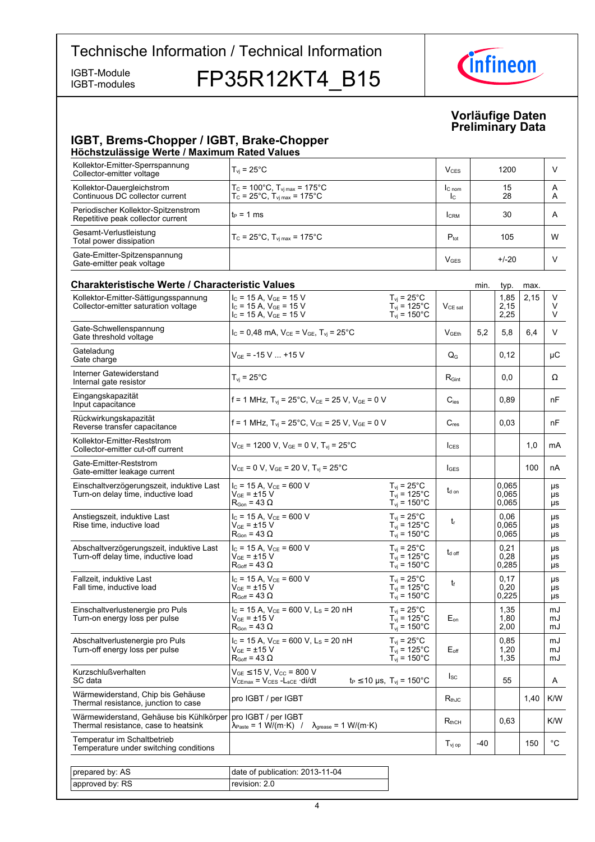IGBT-modules

IGBT-Module FP35R12KT4\_B15



#### **Vorläufige-Daten Preliminary-Data**

# **IGBT, Brems-Chopper / IGBT, Brake-Chopper**

| Höchstzulässige Werte / Maximum Rated Values                                    |                                                                                                                                   |                                                                                      |                            |      |                         |      |                           |
|---------------------------------------------------------------------------------|-----------------------------------------------------------------------------------------------------------------------------------|--------------------------------------------------------------------------------------|----------------------------|------|-------------------------|------|---------------------------|
| Kollektor-Emitter-Sperrspannung<br>Collector-emitter voltage                    | $T_{vi}$ = 25 $^{\circ}$ C                                                                                                        |                                                                                      | <b>V<sub>CES</sub></b>     |      | 1200                    |      | V                         |
| Kollektor-Dauergleichstrom<br>Continuous DC collector current                   | $T_c = 100^{\circ}$ C, $T_{vi \, max} = 175^{\circ}$ C<br>$T_{\rm C}$ = 25°C, $T_{\rm vi \, max}$ = 175°C                         |                                                                                      | $l_{C \text{ nom}}$<br>Ic. |      | 15<br>28                |      | A<br>A                    |
| Periodischer Kollektor-Spitzenstrom<br>Repetitive peak collector current        | $t_P = 1$ ms                                                                                                                      |                                                                                      | <b>I</b> CRM               |      | 30                      |      | A                         |
| Gesamt-Verlustleistung<br>Total power dissipation                               | $T_c$ = 25°C, $T_{\text{vi max}}$ = 175°C                                                                                         |                                                                                      | $P_{\text{tot}}$           |      | 105                     |      | W                         |
| Gate-Emitter-Spitzenspannung<br>Gate-emitter peak voltage                       |                                                                                                                                   |                                                                                      | <b>V<sub>GES</sub></b>     |      | $+/-20$                 |      | V                         |
| <b>Charakteristische Werte / Characteristic Values</b>                          |                                                                                                                                   |                                                                                      |                            | min. | typ.                    | max. |                           |
| Kollektor-Emitter-Sättigungsspannung<br>Collector-emitter saturation voltage    | $I_{C}$ = 15 A, $V_{GF}$ = 15 V<br>$I_{C}$ = 15 A, $V_{GE}$ = 15 V<br>$I_C = 15 A$ , $V_{GE} = 15 V$                              | $T_{\rm vj}$ = 25°C<br>$T_{\text{vj}}$ = 125°C<br>$T_{\text{vj}}$ = 150°C            | $V_{CE\ sat}$              |      | 1,85<br>2,15<br>2,25    | 2,15 | V<br>V<br>V               |
| Gate-Schwellenspannung<br>Gate threshold voltage                                | $I_c = 0,48$ mA, $V_{CE} = V_{GE}$ , $T_{vi} = 25^{\circ}$ C                                                                      |                                                                                      | V <sub>GEth</sub>          | 5,2  | 5,8                     | 6,4  | V                         |
| Gateladung<br>Gate charge                                                       | $V_{GF}$ = -15 V  +15 V                                                                                                           |                                                                                      | $Q_{G}$                    |      | 0,12                    |      | μC                        |
| Interner Gatewiderstand<br>Internal gate resistor                               | $T_{\text{vj}}$ = 25 $^{\circ}$ C                                                                                                 |                                                                                      | $R_{\text{Gint}}$          |      | 0,0                     |      | Ω                         |
| Eingangskapazität<br>Input capacitance                                          | f = 1 MHz, $T_{vi}$ = 25°C, $V_{CE}$ = 25 V, $V_{GE}$ = 0 V                                                                       |                                                                                      | $C_{\text{ies}}$           |      | 0,89                    |      | nF                        |
| Rückwirkungskapazität<br>Reverse transfer capacitance                           | f = 1 MHz, $T_{vi}$ = 25°C, $V_{CE}$ = 25 V, $V_{GE}$ = 0 V                                                                       |                                                                                      | $C_{res}$                  |      | 0,03                    |      | nF                        |
| Kollektor-Emitter-Reststrom<br>Collector-emitter cut-off current                | $V_{CE}$ = 1200 V, $V_{GE}$ = 0 V, $T_{vi}$ = 25°C                                                                                |                                                                                      | $I_{\text{CES}}$           |      |                         | 1,0  | mA                        |
| Gate-Emitter-Reststrom<br>Gate-emitter leakage current                          | $V_{CE} = 0 V$ , $V_{GE} = 20 V$ , $T_{vi} = 25^{\circ}C$                                                                         |                                                                                      | $I_{\text{GES}}$           |      |                         | 100  | nA                        |
| Einschaltverzögerungszeit, induktive Last<br>Turn-on delay time, inductive load | $I_C$ = 15 A, $V_{CE}$ = 600 V<br>V <sub>GE</sub> = ±15 V<br>$\mathsf{R}_{\mathsf{Gon}}$ = 43 $\Omega$                            | $T_{\rm vj}$ = 25°C<br>$T_{vi}$ = 125°C<br>$T_{vi}$ = 150 $^{\circ}$ C               | t <sub>d on</sub>          |      | 0,065<br>0,065<br>0,065 |      | μs<br>μs<br>μs            |
| Anstiegszeit, induktive Last<br>Rise time, inductive load                       | $I_C$ = 15 A, $V_{CE}$ = 600 V<br>$\rm V_{GF}$ = $\pm 15~\rm V$<br>$R_{\text{Gon}}$ = 43 $\Omega$                                 | $T_{vi}$ = 25°C<br>$T_{vi}$ = 125°C<br>$T_{vi}$ = 150 $^{\circ}$ C                   | $t_{r}$                    |      | 0,06<br>0.065<br>0,065  |      | μs<br>μs<br>μs            |
| Abschaltverzögerungszeit, induktive Last<br>Turn-off delay time, inductive load | $I_C$ = 15 A, $V_{CE}$ = 600 V<br>V <sub>GE</sub> = ±15 V<br>$R_{Goff} = 43 \Omega$                                               | $T_{vi}$ = 25°C<br>$T_{vi}$ = 125°C<br>$T_{vi}$ = 150 $^{\circ}$ C                   | $t_{d \text{ off}}$        |      | 0,21<br>0,28<br>0,285   |      | μs<br>μs<br>μs            |
| Fallzeit, induktive Last<br>Fall time, inductive load                           | $I_c$ = 15 A, $V_{CE}$ = 600 V<br>$V_{GE} = \pm 15 V$<br>$R_{Goff}$ = 43 $\Omega$                                                 | $T_{vi}$ = 25 $^{\circ}$ C<br>$T_{vi}$ = 125°C<br>$T_{\text{vj}}$ = 150°C            | t                          |      | 0,17<br>0,20<br>0,225   |      | μs<br>μs<br>$\mu\text{s}$ |
| Einschaltverlustenergie pro Puls<br>Turn-on energy loss per pulse               | $I_c$ = 15 A, $V_{CE}$ = 600 V, L <sub>s</sub> = 20 nH<br>$\rm V_{GF}$ = ±15 $\rm V$<br>$\mathsf{R}_{\mathsf{Gon}}$ = 43 $\Omega$ | $T_{vi}$ = 25 $^{\circ}$ C<br>$T_{\text{vj}}$ = 125°C<br>$T_{vi}$ = 150 $^{\circ}$ C | $E_{on}$                   |      | 1,35<br>1,80<br>2,00    |      | mJ<br>mJ<br>mJ            |
| Abschaltverlustenergie pro Puls<br>Turn-off energy loss per pulse               | $I_C$ = 15 A, $V_{CE}$ = 600 V, L <sub>S</sub> = 20 nH<br>$\rm V_{GF}$ = $\pm 15~\rm V$<br>$R_{Goff} = 43 \Omega$                 | $T_{\rm vj}$ = 25°C<br>$T_{vi}$ = 125°C<br>$T_{\text{vj}}$ = 150°C                   | $E_{\text{off}}$           |      | 0,85<br>1,20<br>1,35    |      | mJ<br>mJ<br>mJ            |
| Kurzschlußverhalten<br>SC data                                                  | $V_{GE}$ $\leq$ 15 V, V <sub>CC</sub> = 800 V<br>Vcemax = Vces -Lsce ·di/dt                                                       | $t_P \le 10 \,\mu s$ , $T_{vi} = 150^{\circ}C$                                       | $I_{SC}$                   |      | 55                      |      | A                         |
| Wärmewiderstand, Chip bis Gehäuse<br>Thermal resistance, junction to case       | pro IGBT / per IGBT                                                                                                               |                                                                                      | $R_{thJC}$                 |      |                         | 1,40 | K/W                       |
| Wärmewiderstand, Gehäuse bis Kühlkörper<br>Thermal resistance, case to heatsink | pro IGBT / per IGBT<br>$\lambda_{\mathsf{Paste}}$ = 1 W/(m·K) /<br>$\lambda_{\text{grease}} = 1 \text{ W/(m·K)}$                  |                                                                                      | $R_{thCH}$                 |      | 0,63                    |      | K/W                       |
| Temperatur im Schaltbetrieb<br>Temperature under switching conditions           |                                                                                                                                   |                                                                                      | $T_{\text{vj op}}$         | -40  |                         | 150  | $^{\circ}$ C              |

| prepared by: AS | date of publication: 2013-11-04 |
|-----------------|---------------------------------|
| approved by: RS | revision: 2.0                   |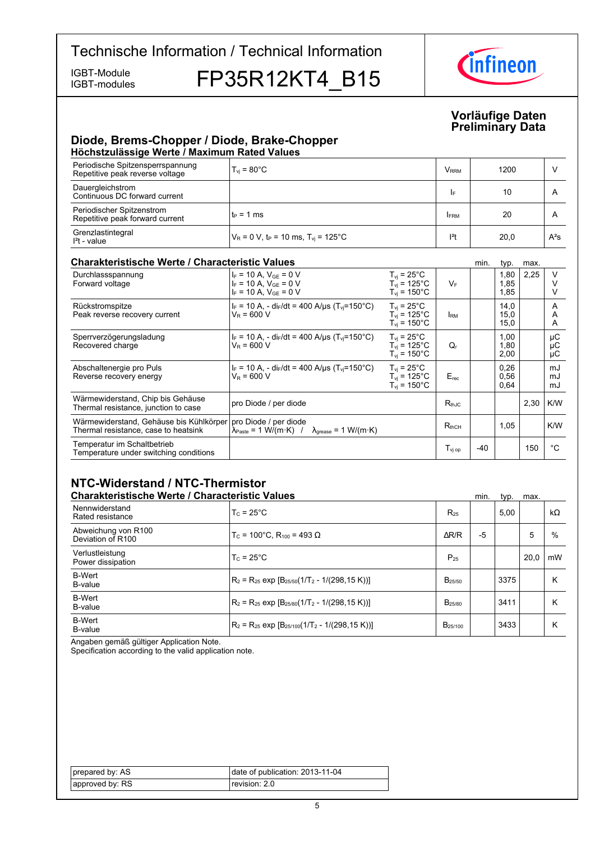IGBT-modules

IGBT-Module FP35R12KT4 B15



#### **Vorläufige-Daten Preliminary-Data**

## **Diode, Brems-Chopper / Diode, Brake-Chopper Höchstzulässige-Werte-/-Maximum-Rated-Values**

| Periodische Spitzensperrspannung<br>Repetitive peak reverse voltage | $T_{\rm vi}$ = 80°C                                          | <b>V</b> <sub>RRM</sub> | 1200 |        |  |  |  |
|---------------------------------------------------------------------|--------------------------------------------------------------|-------------------------|------|--------|--|--|--|
| Dauergleichstrom<br>Continuous DC forward current                   |                                                              | IF                      | 10   |        |  |  |  |
| Periodischer Spitzenstrom<br>Repetitive peak forward current        | ՝ tբ = 1 ms                                                  | <b>IFRM</b>             | 20   |        |  |  |  |
| Grenzlastintegral<br>$l2t$ - value                                  | $V_R$ = 0 V, t <sub>P</sub> = 10 ms, T <sub>vi</sub> = 125°C | $ ^{2}$ t               | 20,0 | $A^2S$ |  |  |  |

#### **Charakteristische Werte / Characteristic**

| <b>Charakteristische Werte / Characteristic Values</b>                          |                                                                                                                                                 |                                                                        | min.                                    | typ.  | max.                 |      |                |
|---------------------------------------------------------------------------------|-------------------------------------------------------------------------------------------------------------------------------------------------|------------------------------------------------------------------------|-----------------------------------------|-------|----------------------|------|----------------|
| Durchlassspannung<br>Forward voltage                                            | $I_F = 10 A$ , $V_{GE} = 0 V$<br>$I_F = 10 A$ , $V_{GE} = 0 V$<br>$I_F = 10 A$ , $V_{GE} = 0 V$                                                 | $T_{vi}$ = 25°C<br>$T_{vi}$ = 125°C<br>$T_{vi}$ = 150 $^{\circ}$ C     | $V_F$                                   |       | 1,80<br>1,85<br>1,85 | 2,25 |                |
| Rückstromspitze<br>Peak reverse recovery current                                | $I_F = 10$ A, - di <sub>F</sub> /dt = 400 A/µs (T <sub>vi</sub> =150°C)<br>$V_R = 600 V$                                                        | $T_{vi}$ = 25°C<br>$T_{vi}$ = 125 $^{\circ}$ C<br>$T_{\rm vi}$ = 150°C | <b>IRM</b>                              |       | 14,0<br>15,0<br>15,0 |      | A<br>A<br>A    |
| Sperrverzögerungsladung<br>Recovered charge                                     | $I_F = 10 A$ , - dir/dt = 400 A/µs (T <sub>vi</sub> =150°C)<br>$V_R$ = 600 V                                                                    | $T_{vi}$ = 25°C<br>$T_{vi}$ = 125°C<br>$T_{vi}$ = 150 $^{\circ}$ C     | Q,                                      |       | 1,00<br>1,80<br>2,00 |      | μC<br>μC<br>μC |
| Abschaltenergie pro Puls<br>Reverse recovery energy                             | $I_F = 10 A$ , - di <sub>F</sub> /dt = 400 A/µs (T <sub>vi</sub> =150°C)<br>$V_R$ = 600 V                                                       | $T_{vi}$ = 25°C<br>$T_{vi}$ = 125°C<br>$T_{vi}$ = 150 $^{\circ}$ C     | $E_{rec}$                               |       | 0,26<br>0.56<br>0.64 |      | mJ<br>mJ<br>mJ |
| Wärmewiderstand, Chip bis Gehäuse<br>Thermal resistance, junction to case       | pro Diode / per diode                                                                                                                           |                                                                        | $R_{th,IC}$                             |       |                      | 2,30 | K/W            |
| Wärmewiderstand, Gehäuse bis Kühlkörper<br>Thermal resistance, case to heatsink | pro Diode / per diode<br>$\lambda_{\text{Paste}} = 1 \text{ W/(m} \cdot \text{K)}$ / $\lambda_{\text{grease}} = 1 \text{ W/(m} \cdot \text{K)}$ |                                                                        | $R_{thCH}$                              |       | 1,05                 |      | K/W            |
| Temperatur im Schaltbetrieb<br>Temperature under switching conditions           |                                                                                                                                                 |                                                                        | $\mathsf{T}_{\mathsf{vi}\,\mathsf{op}}$ | $-40$ |                      | 150  | °C             |

# **NTC-Widerstand-/-NTC-Thermistor**

| <b>Charakteristische Werte / Characteristic Values</b> |                                                          |                     | min. | typ. | max. |           |
|--------------------------------------------------------|----------------------------------------------------------|---------------------|------|------|------|-----------|
| Nennwiderstand<br>Rated resistance                     | $T_c = 25^{\circ}$ C                                     | $R_{25}$            |      | 5,00 |      | $k\Omega$ |
| Abweichung von R100<br>Deviation of R100               | $T_c$ = 100°C, R <sub>100</sub> = 493 Ω                  | $\Delta$ R/R        | -5   |      | 5    | %         |
| Verlustleistung<br>Power dissipation                   | $T_c = 25^{\circ}$ C                                     | $P_{25}$            |      |      | 20.0 | mW        |
| <b>B-Wert</b><br>B-value                               | $R_2 = R_{25}$ exp $[B_{25/50}(1/T_2 - 1/(298, 15 K))]$  | $B_{25/50}$         |      | 3375 |      | K         |
| <b>B-Wert</b><br>B-value                               | $R_2 = R_{25}$ exp $[B_{25/80}(1/T_2 - 1/(298.15 K))]$   | B <sub>25/80</sub>  |      | 3411 |      | Κ         |
| <b>B-Wert</b><br>B-value                               | $R_2 = R_{25}$ exp $[B_{25/100}(1/T_2 - 1/(298, 15 K))]$ | B <sub>25/100</sub> |      | 3433 |      | Κ         |

Angaben gemäß gültiger Application Note.

Specification according to the valid application note.

| prepared by: AS | date of publication: 2013-11-04 |
|-----------------|---------------------------------|
| approved by: RS | revision: 2.0                   |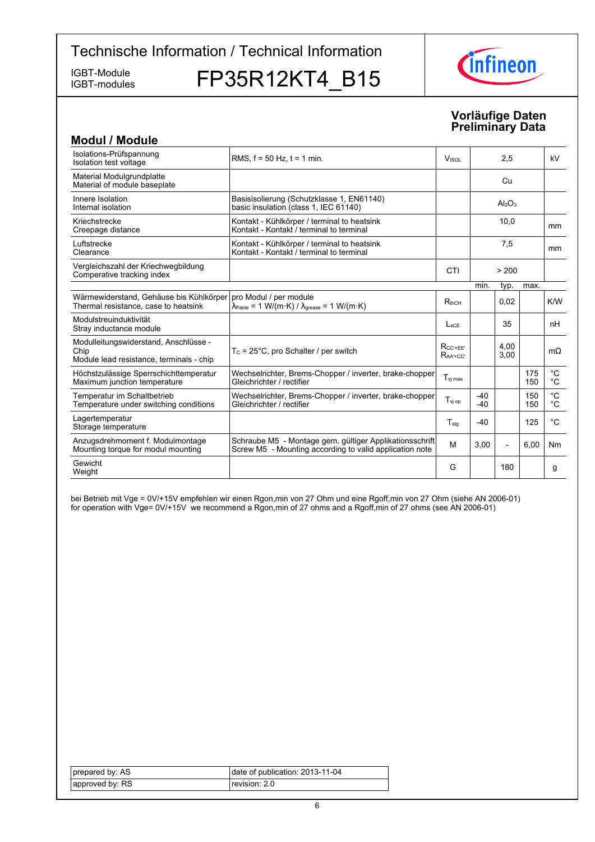IGBT-modules

IGBT-Module FP35R12KT4\_B15



# **Vorläufige-Daten Preliminary-Data**

| <b>Modul / Module</b>                                                                     |                                                                                                                                                              |                                    |                |                |            |                                   |
|-------------------------------------------------------------------------------------------|--------------------------------------------------------------------------------------------------------------------------------------------------------------|------------------------------------|----------------|----------------|------------|-----------------------------------|
| Isolations-Prüfspannung<br>Isolation test voltage                                         | RMS, $f = 50$ Hz, $t = 1$ min.                                                                                                                               | 2,5<br>V <sub>ISOL</sub>           |                |                | kV         |                                   |
| Material Modulgrundplatte<br>Material of module baseplate                                 |                                                                                                                                                              |                                    |                | Cu             |            |                                   |
| Innere Isolation<br>Internal isolation                                                    | Basisisolierung (Schutzklasse 1, EN61140)<br>basic insulation (class 1, IEC 61140)                                                                           |                                    |                | $Al_2O_3$      |            |                                   |
| Kriechstrecke<br>Creepage distance                                                        | Kontakt - Kühlkörper / terminal to heatsink<br>Kontakt - Kontakt / terminal to terminal                                                                      |                                    |                | 10,0           |            | mm                                |
| Luftstrecke<br>Clearance                                                                  | Kontakt - Kühlkörper / terminal to heatsink<br>Kontakt - Kontakt / terminal to terminal                                                                      |                                    |                | 7,5            |            | <sub>mm</sub>                     |
| Vergleichszahl der Kriechwegbildung<br>Comperative tracking index                         |                                                                                                                                                              | CTI                                |                | > 200          |            |                                   |
|                                                                                           |                                                                                                                                                              |                                    | min.           | typ.           | max.       |                                   |
| Wärmewiderstand, Gehäuse bis Kühlkörper<br>Thermal resistance, case to heatsink           | pro Modul / per module<br>$\lambda_{\text{Paste}} = 1 \text{ W}/(\text{m} \cdot \text{K}) / \lambda_{\text{grease}} = 1 \text{ W}/(\text{m} \cdot \text{K})$ | $R_{thCH}$                         |                | 0,02           |            | K/W                               |
| Modulstreuinduktivität<br>Stray inductance module                                         |                                                                                                                                                              | $L_{\rm{SCF}}$                     |                | 35             |            | nH                                |
| Modulleitungswiderstand, Anschlüsse -<br>Chip<br>Module lead resistance, terminals - chip | $T_c = 25^{\circ}$ C, pro Schalter / per switch                                                                                                              | $R_{CC' + EE'}$<br>$R_{AA' + CC'}$ |                | 4,00<br>3,00   |            | $m\Omega$                         |
| Höchstzulässige Sperrschichttemperatur<br>Maximum junction temperature                    | Wechselrichter, Brems-Chopper / inverter, brake-chopper<br>Gleichrichter / rectifier                                                                         | $T_{\mathsf{vi} \, \mathsf{max}}$  |                |                | 175<br>150 | $^{\circ}{\rm C}$<br>$^{\circ}$ C |
| Temperatur im Schaltbetrieb<br>Temperature under switching conditions                     | Wechselrichter, Brems-Chopper / inverter, brake-chopper<br>Gleichrichter / rectifier                                                                         | $T_{\text{vj op}}$                 | $-40$<br>$-40$ |                | 150<br>150 | $^{\circ}C$<br>$^{\circ}C$        |
| Lagertemperatur<br>Storage temperature                                                    |                                                                                                                                                              | $T_{\text{stq}}$                   | $-40$          |                | 125        | $^{\circ}C$                       |
| Anzugsdrehmoment f. Modulmontage<br>Mounting torque for modul mounting                    | Schraube M5 - Montage gem. gültiger Applikationsschrift<br>Screw M5 - Mounting according to valid application note                                           | M                                  | 3,00           | $\overline{a}$ | 6,00       | Nm                                |
| Gewicht<br>Weight                                                                         |                                                                                                                                                              | G                                  |                | 180            |            | g                                 |

bei Betrieb mit Vge = 0V/+15V empfehlen wir einen Rgon,min von 27 Ohm und eine Rgoff,min von 27 Ohm (siehe AN 2006-01) for operation with Vge= 0V/+15V we recommend a Rgon,min of 27 ohms and a Rgoff,min of 27 ohms (see AN 2006-01)

| prepared by: AS | date of publication: 2013-11-04 |
|-----------------|---------------------------------|
| approved by: RS | revision: 2.0                   |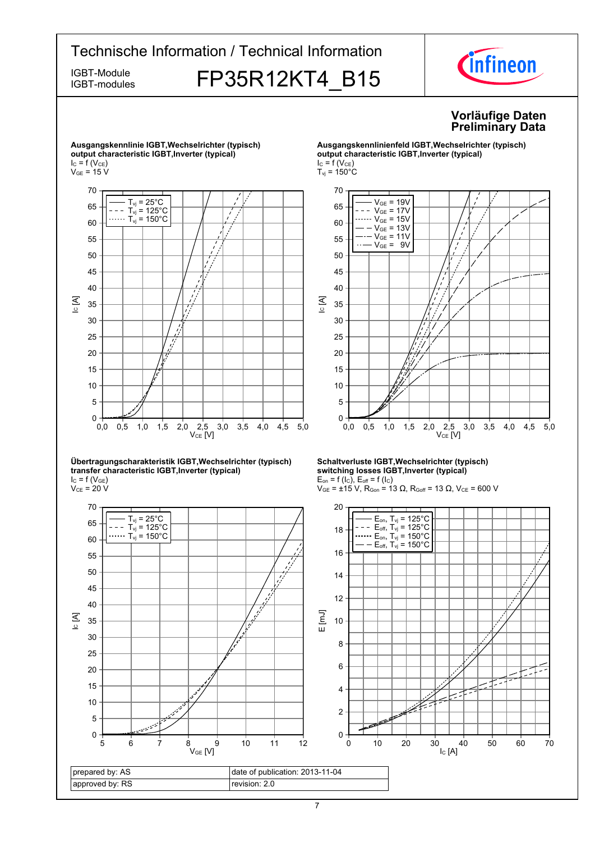

prepared by: AS approved by: RS date of publication: 2013-11-04 revision: 2.0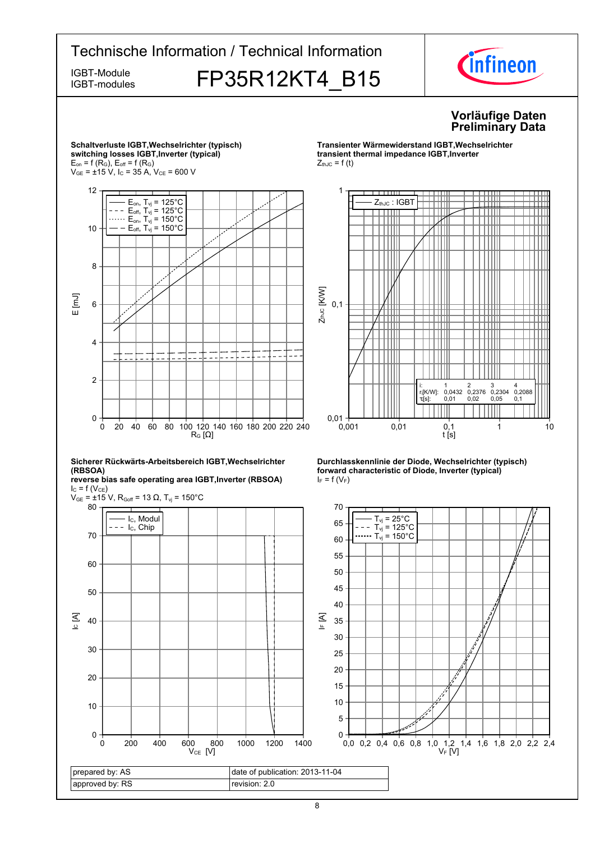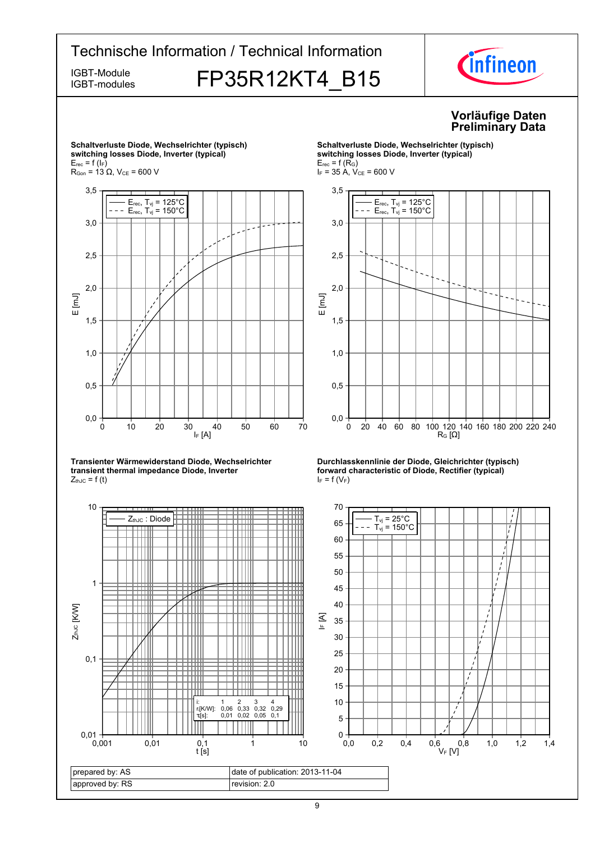# Technische Information / Technical Information IGBT-Module **FP35R12KT4 B15** IFR35R12KT4 IGBT-modules



#### **Vorläufige-Daten Preliminary-Data**



**Transienter-Wärmewiderstand-Diode,-Wechselrichtertransient thermal impedance Diode, Inverter**  $Z_{thJC} = f(t)$ 



**Schaltverluste-Diode,-Wechselrichter-(typisch)**  $s$ witching losses Diode, Inverter (typical)  $E_{rec}$  = f (R<sub>G</sub>)  $I_F = 35$  A,  $V_{CE} = 600$  V





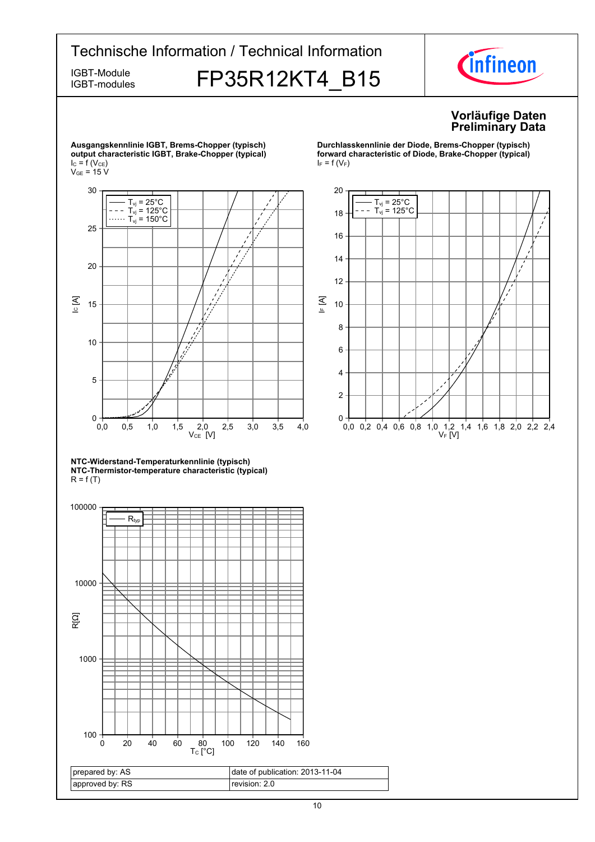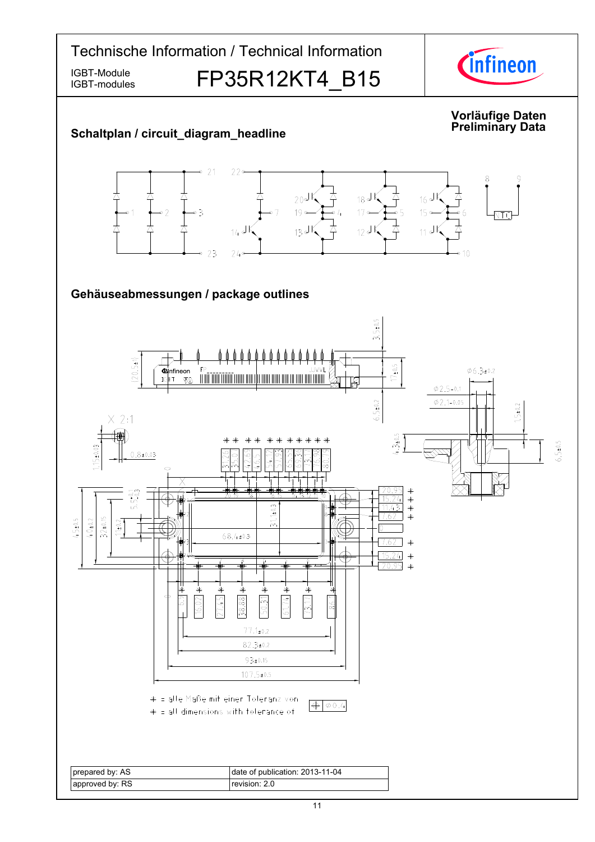